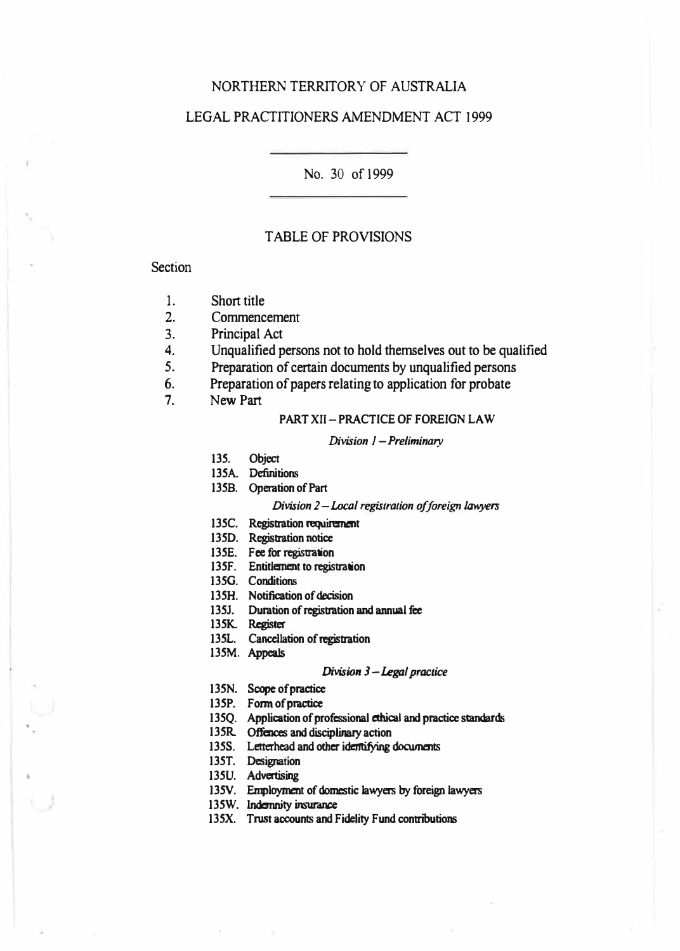### NORTHERN TERRITORY OF AUSTRALIA

# LEGAL PRACTITIONERS AMENDMENT ACT 1999

No. 30 of 1999

#### TABLE OF PROVISIONS

#### **Section**

- 1. Short title
- 2. Commencement<br>3. Principal Act
- Principal Act
- 4. Unqualified persons not to hold themselves out to be qualified<br>5. Preparation of certain documents by unqualified persons
- Preparation of certain documents by unqualified persons

6. Preparation of papers relating to application for probate<br>7. New Part

New Part

#### **PART XII-PRACTICE OF FOREIGN LAW**

#### *Division 1* **-***Preliminary*

- **135. Object**
- **135A Definitions**
- **135B. Operation of Part**

#### *Division 2-Local registration of foreign lawyers*

- **135C. Registtation requirement**
- **135D. Registtation notice**
- 135E. Fee for registration
- 135F. Entitlement to registration
- **1350. Conditions**
- **135H. Notification of decision**
- 135J. Duration of registration and annual fee
- **135K. Register**
- 135L. Cancellation of registration
- **135M. Appeals**

#### *Division 3* **-***Legal practice*

- **135N. Scope of practice**
- **135P. Form of practice**
- 135Q. Application of professional ethical and practice standards
- **135R Offences and disciplinary action**
- **135S. Letterhead and other identifying documents**
- **135T. Designation**
- 135U. Advertising
- **135V. Employment of domestic lawyers by foreign lawyers**
- **135W. Indemnity insurance**
- **135X. Trust accounts and Fidelity Fund contnbutions**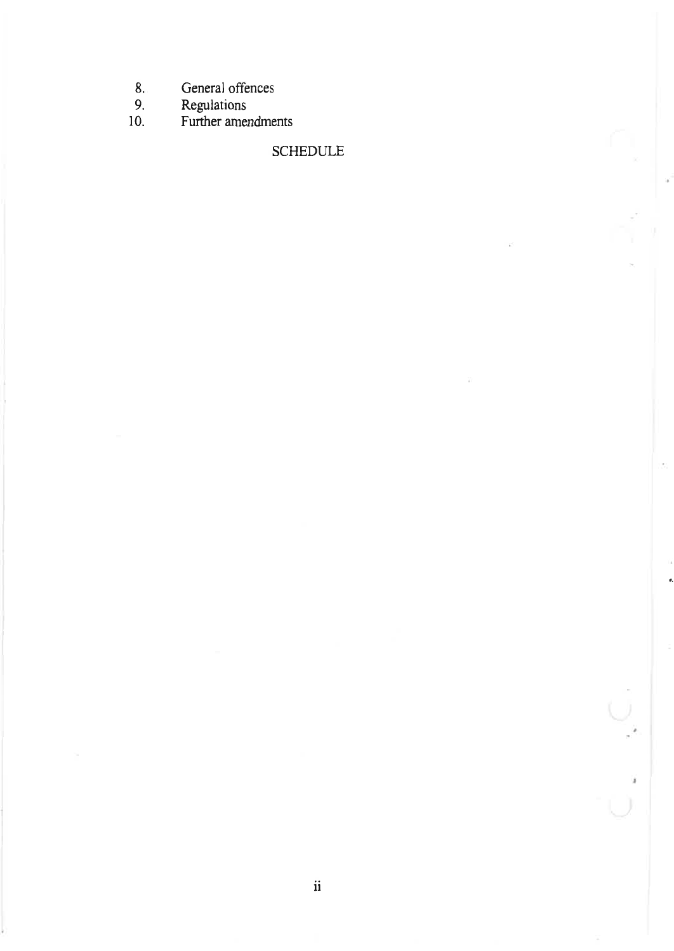- $8.$ General offences
- $9<sub>1</sub>$
- Regulations<br>Further amendments  $10.$

# **SCHEDULE**

 $\hat{\pmb{\theta}}$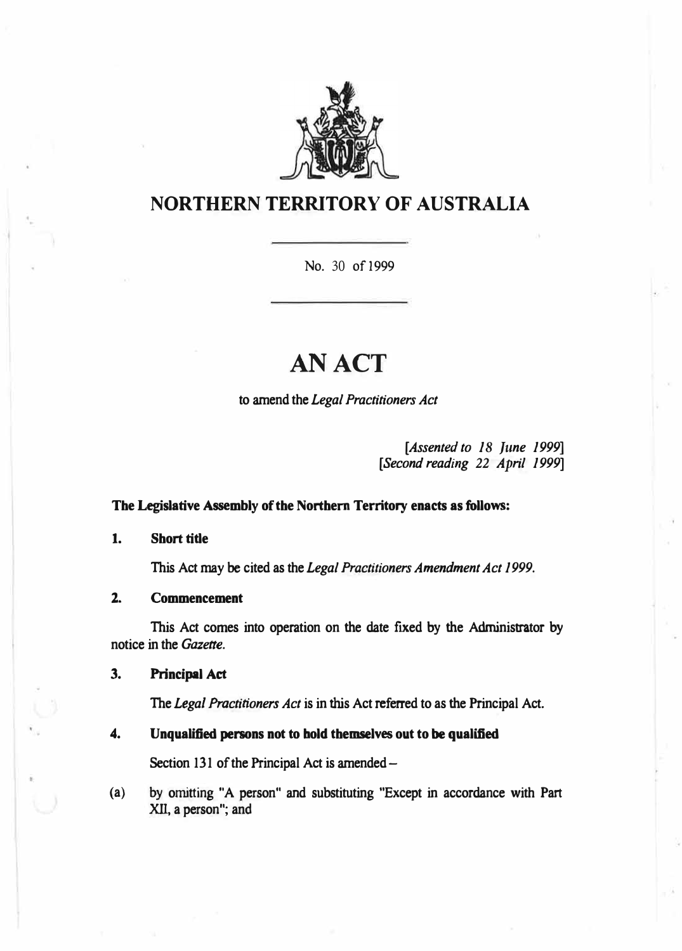

# **NORTHERN TERRITORY OF AUSTRALIA**

No. 30 of 1999

# **AN ACT**

**to amend the** *Legal Practitioners Act* 

*[Assented to 18 June 1999] [Second reading 22 April 1999]* 

#### **The Legislative Assembly of the Northern Territory enacts as follows:**

**1. Short title**

**This Act may be cited as the** *Legal Practitioners Amendment Act 1999.*

**2. Commencement**

**This Act comes into operation on the date fixed by the Administrator by notice in the** *Gazette.* 

**3. Principal Act**

**The** *Legal Practitioners Act* **is in this Act referred to as the Principal Act.**

#### **4. Unqualified persons not to bold themselves out to be qualified**

**Section 131 of the Principal Act is amended-**

**( a) by omitting "A person" and substituting "Except in accordance with Part X1I, a person"; and**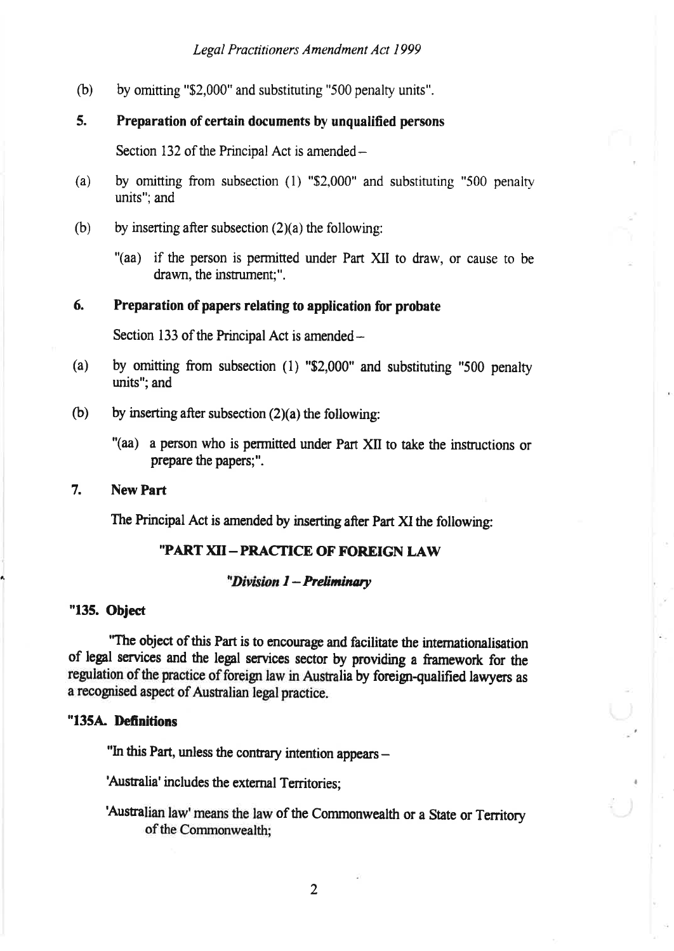$(b)$  by omitting "\$2,000" and substituting "500 penalty units".

## 5. Preparation of certain documents by unqualified persons

Section 132 of the Principal Act is amended $-$ 

- (a) by omitting from subsection (l) "\$2,000" and substituting "500 penalry units"; and
- (b) by inserting after subsection  $(2)(a)$  the following:
	- "(aa) if the person is permitted under Part XII to draw, or cause to be drawn, the instrument;".

#### 6. Preparation of papers relating to application for probate

Section 133 of the Principal Act is amended $-$ 

- (a) by omitting from subsection (l) "\$2,000" and substituting "500 penalty units"; and
- (b) by inserting after subsection  $(2)(a)$  the following:
	- "(aa) a person who is permitted under Part XII to take the instructions or prepare the papers:".
- 7. New Part

The Principal Act is amended by inserting after Part XI the following:

# "PART XII-PRACTICE OF FOREIGN LAW

### "Division 1 - Preliminary

#### "135. Object

"The object of this Part is to encourage and faciliate the intemationalisation of legal services and the legal services sector by providing a framework for the regulation of the practice of foreign law in Australia by foreign-qualified lawyers as a recognised aspect of Australian legal practice.

#### "1354 Definitions

"In this Part, unless the contrary intention appears -

'Australia' includes the external Territories;

'Australian law' means the law of the Commonwealth or a State or Territory of the Commonwealth;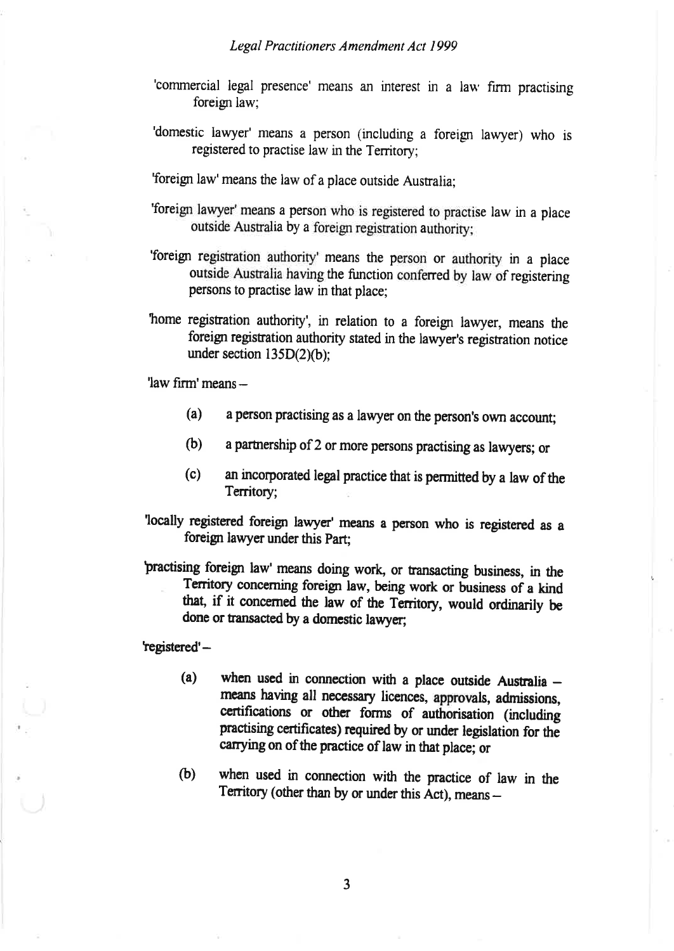- 'commercial legal presence' means an interest in a lau' firm practising foreign law;
- 'domestic lawyer' means a person (including a foreigr lawyer) who is registered to practise law in the Territory;

Toreign law'means the law of a place outside Australia;

- 'foreign lawyer'means a person who is registered to practise law in a place outside Ausralia by a foreign registration authority;
- 'foreign regisration authority' means the person or authoriry in a place outside Austalia having the function conferred by law of registering persons to practise law in that place;
- home registration authority', in relation to a foreign lawyer, means the foreign registration authority stated in the lawyer's registration notice under section  $135D(2)(b)$ ;

'law firm' means -

- (a) a person practising as a lawyer on the person's own account;
- (b) a parürership of 2 or more persons practising as lawyers; or
- (c) an incorporated legal practice that is permitted by a law of the Territory;

locally registered foreign lawyer' means a person who is registered as <sup>a</sup> foreign lawyer under this Part;

practising foreign law' means doing work, or transacting business, in the Territory concerning foreign law, being work or business of a kind that, if it concerned the law of the Territory, would ordinarily be done or transacted by a domestic lawyer;

registered'-

- (a) when used in connection with a place outside Australia  $$ means having all necessary licences, approvals, admissions, certifications or other forms of authorisation (including practising certificates) required by or under legislation for the carrying on of the practice of law in that place; or
- (b) when used in connection with the practice of law in the Territory (other than by or under this Act), means -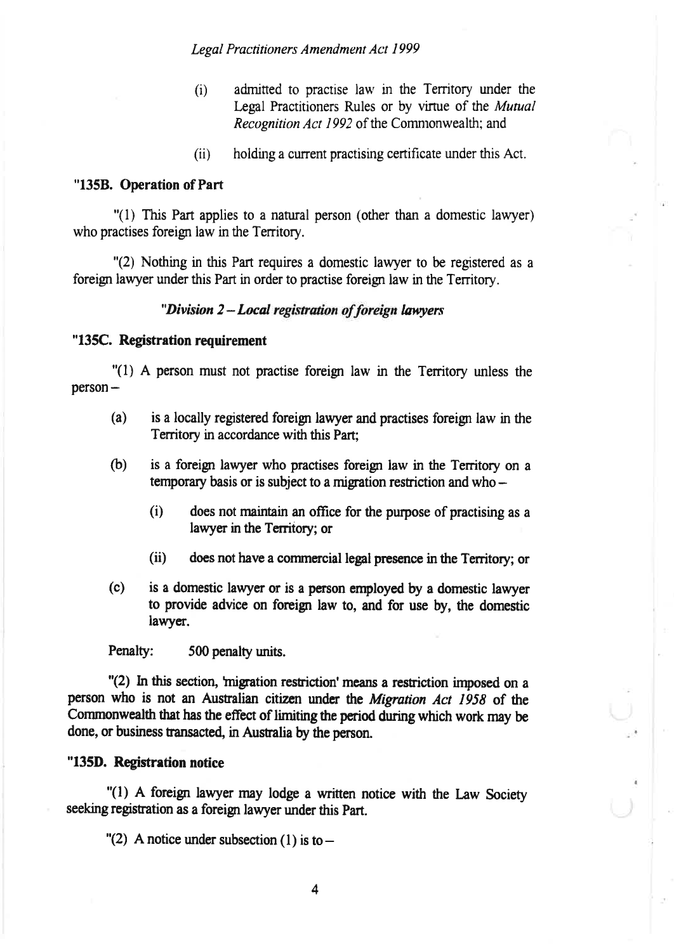- admitted to practise law in the Territory under the  $(i)$ Legal Practitioners Rules or by virtue of the Mutual Recognition Act 1992 of the Commonwealth: and
- $(ii)$ holding a current practising certificate under this Act.

#### "135B. Operation of Part

"(1) This Part applies to a natural person (other than a domestic lawyer) who practises foreign law in the Territory.

"(2) Nothing in this Part requires a domestic lawyer to be registered as a foreign lawyer under this Part in order to practise foreign law in the Territory.

#### "Division 2-Local registration of foreign lawyers"

#### "135C. Registration requirement

"(1) A person must not practise foreign law in the Territory unless the  $person -$ 

- $(a)$ is a locally registered foreign lawyer and practises foreign law in the Territory in accordance with this Part:
- $(b)$ is a foreign lawyer who practises foreign law in the Territory on a temporary basis or is subject to a migration restriction and who  $-$ 
	- $(i)$ does not maintain an office for the purpose of practising as a lawyer in the Territory; or
	- $(ii)$ does not have a commercial legal presence in the Territory; or
- $(c)$ is a domestic lawyer or is a person employed by a domestic lawyer to provide advice on foreign law to, and for use by, the domestic lawyer.

Penalty: 500 penalty units.

"(2) In this section, 'migration restriction' means a restriction imposed on a person who is not an Australian citizen under the Migration Act 1958 of the Commonwealth that has the effect of limiting the period during which work may be done, or business transacted, in Australia by the person.

#### "135D. Registration notice

"(1) A foreign lawyer may lodge a written notice with the Law Society seeking registration as a foreign lawyer under this Part.

"(2) A notice under subsection (1) is to  $-$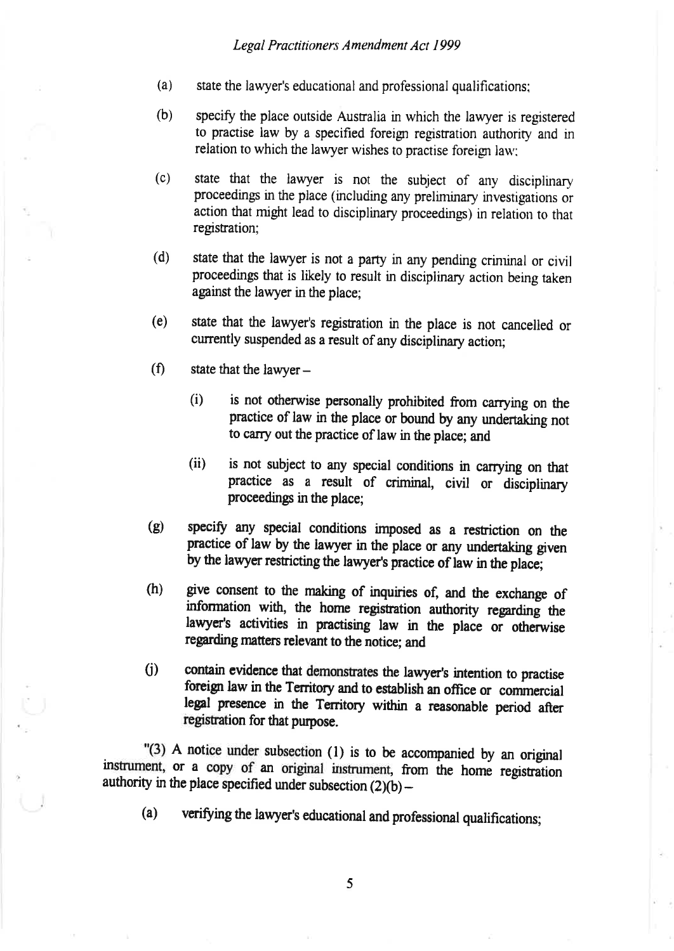- $(a)$  state the lawyer's educational and professional qualifications;
- (b) specify the place outside Australia in which the lawyer is registered to practise law by a specified foreign regisration authoriry and in relation to which the lawyer wishes to practise foreign law:
- (c) state that the lawyer is not the subject of any disciplinary proceedings in the place (including any preliminary investigations or action that might lead to disciplinary proceedings) in relation to that registration;
- (d) state that the lawyer is not a party in any pending criminal or civil proceedings that is likely to result in disciplinary action being taken against the lawyer in the place;
- (e) ståte that the lawyer's registration in the place is not cancelled or currently suspended as a result of any disciplinary action;
- $(f)$  state that the lawyer -
	- (i) is not otherwise personally prohibited from carrying on the practice of law in the place or bound by any undertaking not to carry out the practice of law in the place; and
	- (ii) is not subject to any special conditions in carrying on that practice as a result of criminal, civil or disciplinary proceedings in the place;
- (g) specify any special conditions imposed as a restriction on the practice of law by the lawyer in the place or any undertaking given by the lawyer restricting the lawyer's practice of law in the place;
- (h) give consent to the making of inquiries of, and the exchange of information with, the home registration authority regarding the lawyer's activities in practising law in the place or otherwise regarding matters relevant to the notice; and
- (i) contain evidence that demonstrates the lawyer's intention to practise foreign law in the Territory and to establish an office or commercial legal presence in the Territory within a reasonable period after registation for that purpose.

"(3) A notice under subsection (l) is to be accompanied by an original instrument, or a copy of an original instrument, from the home registration authority in the place specified under subsection  $(2)(b)$  –

(a) verifying the lawyer's educational and professional qualifications;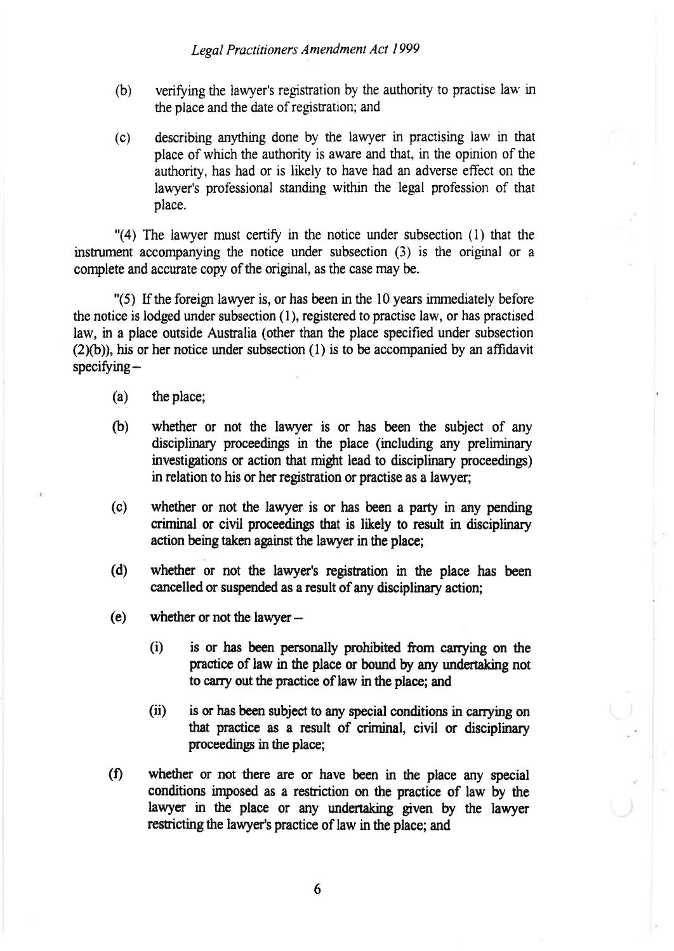- (b) verifoing the lawyer's regisration by the authority to practise lau' in the place and the date of registration; and
- (c) describing anything done by the lawyer in practising law in that place of which the authoriry is awæe and that, in the opinion of the authority, has had or is likely to have had an adverse effect on the lawyer's professional standing within the legal profession of that place.

 $''(4)$  The lawyer must certify in the notice under subsection  $(1)$  that the insrument accompanying the notice under subsection (3) is the original or <sup>a</sup> complete and accurate copy of the original, as the case may be.

 $\degree$ (5) If the foreign lawyer is, or has been in the 10 years immediately before the notice is lodged under subsection  $(1)$ , registered to practise law, or has practised law, in a place outside Australia (other than the place specified under subsection  $(2)(b)$ ), his or her notice under subsection (1) is to be accompanied by an affidavit  $specificing -$ 

- (a) the place;
- (b) whether or not the lawyer is or has been the subject of any disciplinary proceedings in the place (including any preliminary investigations or action that might lead to disciplinary proceedings) in relation to his or her registration or practise as a lawyer;
- (c) whether or not the lawyer is or has been a party in any pending criminal or civil proceedings that is likely to result in disciplinary action being taken against the lawyer in the place;
- (d) whether or not the lawyer's registation in the place has been cancelled or suspended as a result of any disciplinary action;
- (e) whether or not the lawyer-
	- (i) is or has been personally prohibiæd from carrying on the practice of law in the place or bound by any undertaking not to carry out the practice of law in the place; and
	- (ii) is or has been subject to any special conditions in carrying on that practice as a result of criminal, civil or disciplinary proceedings in the place;
- (f) whether or not there are or have been in the place any special conditions imposed as a restriction on the practice of law by the lawyer in the place or any undertaking given by the lawyer restricting the lawyer's practice of law in the place; and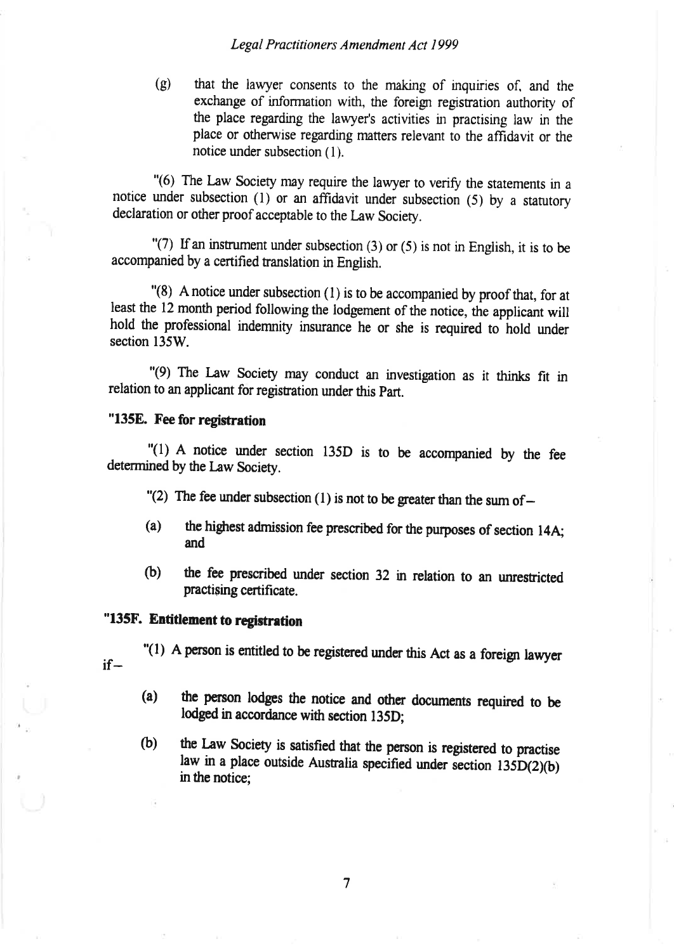(g) that the lawyer consents to the making of inquiries of, and the exchange of information with, the foreign registration authority of the place regarding the lawyer's activities in practising law in the place or othenvise regarding matters relevant to the affidavit or the notice under subsection (1).

"(6) The Law Society may require the lawyer to verify the statements in a notice under subsection  $(1)$  or an affidavit under subsection  $(5)$  by a statutory declaration or other proof acceptable to the Law Society.

 $\Gamma(7)$  If an instrument under subsection (3) or (5) is not in English, it is to be accompanied by a certified translation in English.

"(8) A notice under subsection (l) is to be accompanied by proof that, for at least the 12 month period following the lodgement of the notice, the applicant will hold the professional indemnity insurance he or she is required to hold under section 135W.

"(9) The Law Society may conduct an investigation as it thinks fit in relation to an applicant for registation under this part.

#### "135E. Fee for registration

"(l) A notice under section l35D is to be accompanied by the fee determined by the Law Society.

- "(2) The fee under subsection (1) is not to be greater than the sum of  $-$
- (a) the highest admission fee prescribed for the purposes of section 14A; and
- (b) the fee prescribed under section 32 in relation to an unrestricted practising certificate.

# "135F. Entitlement to registration

"(1) A person is entitled to be registered under this Act as a foreign lawyer if-

- (a) the person lodges the notice and other documents required to be lodged in accordance with section 135D;
- (b) the Law Society is satisfied that the person is registered to practise law in a place outside Australia specified under section 135D(2)(b) in the notice;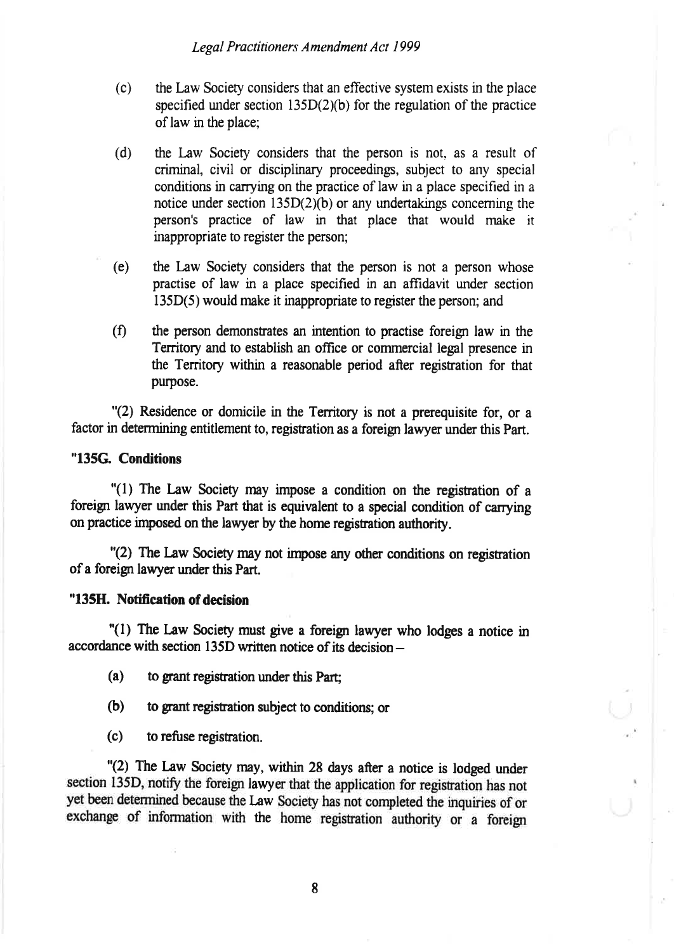- (c) the Law Society considers that an effective system exists in the place specified under section  $135D(2)(b)$  for the regulation of the practice of law in the place;
- (d) the Law Society considers that the person is not, as a result of criminal, civil or disciplinary proceedings, subject to any special conditions in carrying on the practice of law in a place specified in a notice under section  $135D(2)(b)$  or any undertakings concerning the person's practice of law in that place that would make it inappropriate to register the person;
- (e) the Law Society considers that the person is not a person whose practise of law in a place specifred in an affrdavit under section 135D(5) would make it inappropriate to register the person; and
- (f) the person demonstrates an intention to practise foreign law in the Territory and to establish an office or commercial legal presence in the Territory within a reasonable period after registration for that purpose.

"(2) Residence or domicile in the Territory is not a prerequisite for, or a factor in determining entitlement to, registration as a foreign lawyer under this Part.

#### "135G. Conditions

"(1) The Law Society may impose a condition on the registration of a foreign lawyer under this Part that is equivalent to a special condition of carrying on practice imposed on the lawyer by the home registration authority.

"(2) The law Society may not inpose any other conditions on registration of a foreign lawyer under this Part.

#### "135H. Notification of decision

 $''(1)$  The Law Society must give a foreign lawyer who lodges a notice in accordance with section l35D written notice of its decision-

- $(a)$  to grant registration under this Part:
- (b) to grant registration subject to conditions; or
- $(c)$  to refuse registration.

"(2) The Law Society may, within 28 days after a notice is lodged under section 135D, notify the foreign lawyer that the application for registration has not yet been determined because the Law Society has not completed the inquiries of or exchange of information with the home registration authority or a foreign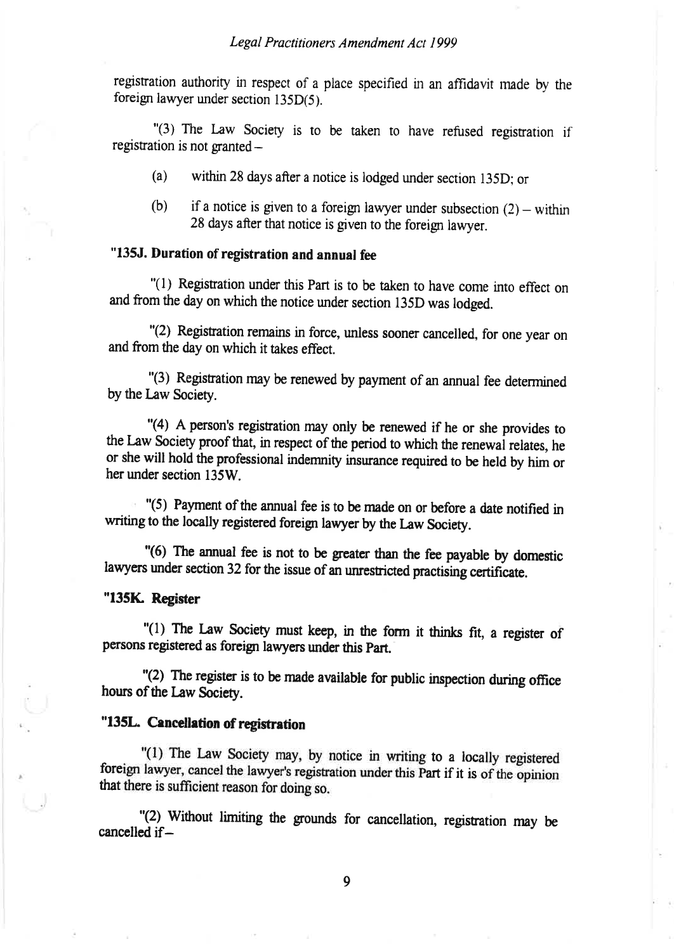registration authority in respect of a place specified in an affidavit made by the foreign lawyer under section l35D(5).

"(3) The Law society is to be taken to have refused registration if registration is not granted -

- (a) within 28 days after a notice is lodged under section l35D; or
- (b) if a notice is given to a foreign lawyer under subsection  $(2)$  within 28 days after that notice is given to the foreign lawyer.

## "135J. Duration of registration and annual fee

"(l) Regisration under this Part is to be taken to have come into effect on and from the day on which the notice under section 135D was lodged.

"Q) Registation remains in force, unless sooner cancelled, for one year on and from the day on which it takes effect.

"(3) Registation may be renewed by payment of an annual fee determined by the Law Society.

"(4) A person's registration may only be renewed if he or she provides to the Law Society proof that, in respect of the period to which the renewal relates, he or she will hold the professional indemnity insurance required to be held by him or her under section 135W.

"(5) Payment of the annual fee is to be made on or before a date notifred in writing to the locally registered foreign lawyer by the Law Society.

"(6) The annual fee is not to be greater than the fee payable by domestic lawyers under section 32 for the issue of an unrestricted practising certificate.

#### "135K. Register

"(1) The Law Society must keep, in the form it thinks fit, a register of persons registered as foreign lawyers under this Part.

"(2) The register<br>hours of the Law Society. " $(2)$  The register is to be made available for public inspection during office

### "135L. Cancellation of registration

"(1) The Law Society may, by notice in writing to a locally registered foreign lawyer, cancel the lawyer's registration under this Part if it is of the opinion that there is sufficient reason for doing so.

"(2) without limiting the grounds for cancellation, registation may be cancelled if-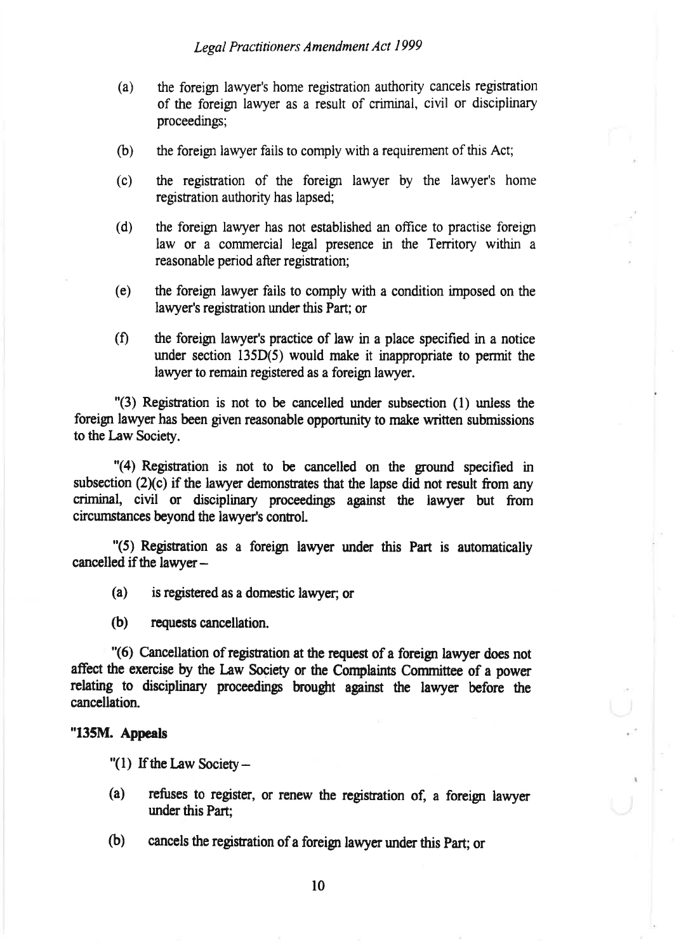- (a) the foreign lawyer's home registration authoriry cancels regtsration of the foreign lawyer as a result of criminal, civil or disciplinary proceedinç;
- (b) the foreign lawyer fails to comply with a requirement of this Act;
- (c) the regisration of the foreigr lawyer by the lawyer's home registration authority has lapsed;
- (d) the foreign lawyer has not established an offrce to practise foreign law or a commercial legal presence in the Territory within a reasonable period after registation;
- (e) the foreign lawyer fails to comply with a condition imposed on the lawyer's registration under this Part; or
- $(f)$  the foreign lawyer's practice of law in a place specified in a notice under section  $135D(5)$  would make it inappropriate to permit the lawyer to remain registered as a foreign lawyer.

 $'(3)$  Registration is not to be cancelled under subsection  $(1)$  unless the foreign lawyer has been given reasonable opportunity to make written submissions to the Law Society.

 $"$ (4) Registration is not to be cancelled on the ground specified in subsection  $(2)(c)$  if the lawyer demonstrates that the lapse did not result from any criminal, civil or disciplinary proceedings against the lawyer but from circumstances beyond the lawyer's control.

 $\frac{1}{5}$  Registration as a foreign lawyer under this Part is automatically cancelled if the lawyer-

- $(a)$  is registered as a domestic lawyer; or
- (b) requests cancellation.

"(6) Cancellation of registration at the request of a foreign lawyer does not affect the exercise by the Law Society or the Conplaints Committee of a power relating to disciplinary proceedings brought against the lawyer before the cancellation.

#### "135M. Appeals

- " $(1)$  If the Law Society -
- (a) refuses to register, or renew the registration of, a foreign lawyer under this Part:
- (b) cancels the registration of a foreign lawyer under this Part; or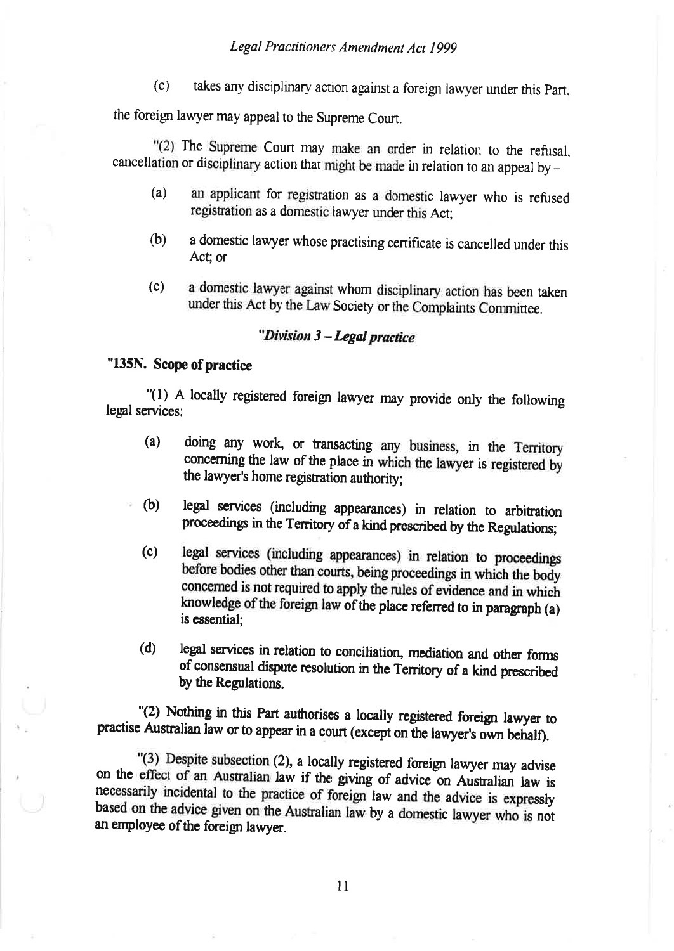$(c)$ takes any disciplinary action against a foreign lawyer under this Part.

the foreign lawyer may appeal to the Supreme Court.

"(2) The Supreme Court may make an order in relation to the refusal, cancellation or disciplinary action that might be made in relation to an appeal by  $-$ 

- an applicant for registration as a domestic lawyer who is refused  $(a)$ registration as a domestic lawyer under this Act;
- $(b)$ a domestic lawyer whose practising certificate is cancelled under this Act; or
- a domestic lawyer against whom disciplinary action has been taken  $(c)$ under this Act by the Law Society or the Complaints Committee.

# "Division 3 - Legal practice

# "135N. Scope of practice

"(1) A locally registered foreign lawyer may provide only the following legal services:

- $(a)$ doing any work, or transacting any business, in the Territory concerning the law of the place in which the lawyer is registered by the lawyer's home registration authority;
- $(b)$ legal services (including appearances) in relation to arbitration proceedings in the Territory of a kind prescribed by the Regulations;
- $(c)$ legal services (including appearances) in relation to proceedings before bodies other than courts, being proceedings in which the body concerned is not required to apply the rules of evidence and in which knowledge of the foreign law of the place referred to in paragraph (a) is essential:
- $(d)$ legal services in relation to conciliation, mediation and other forms of consensual dispute resolution in the Territory of a kind prescribed by the Regulations.

"(2) Nothing in this Part authorises a locally registered foreign lawyer to practise Australian law or to appear in a court (except on the lawyer's own behalf).

"(3) Despite subsection (2), a locally registered foreign lawyer may advise on the effect of an Australian law if the giving of advice on Australian law is necessarily incidental to the practice of foreign law and the advice is expressly based on the advice given on the Australian law by a domestic lawyer who is not an employee of the foreign lawyer.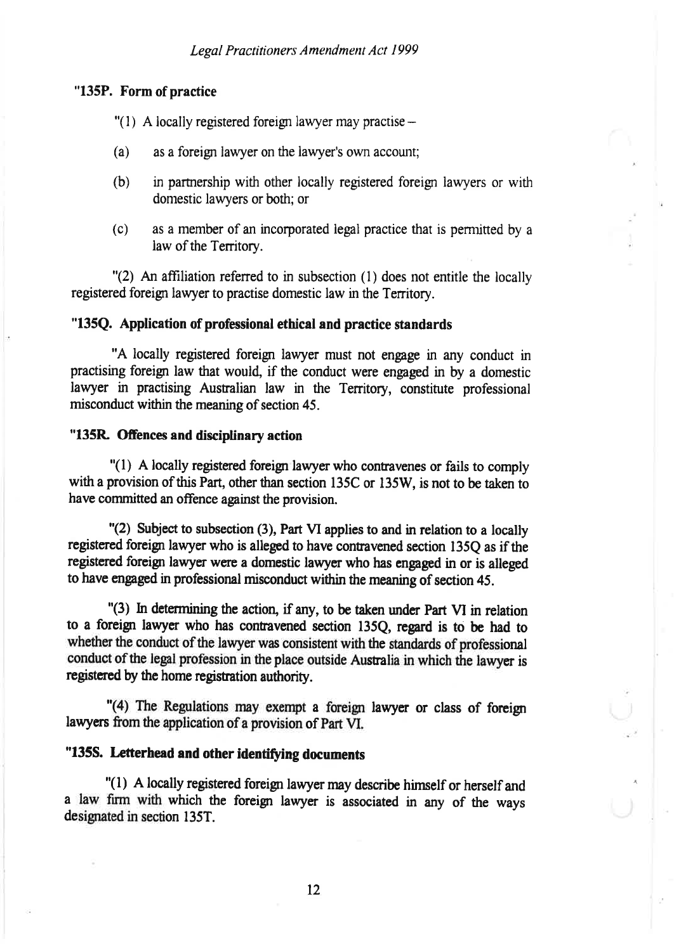#### "135P. Form of practice

- "(1) A locally registered foreign lawyer may practise  $-$
- (a) as a foreign lawyer on the lawyer's own account;
- (b) in parurership with other locally registered foreign lawyers or with domestic lawyers or both; or
- (c) as a member of an incorporated legal practice that is permitted by a law of the Territory.

"(2) An affiliation refened to in subsection (l) does not entitle the locally registered foreign lawyer to practise domestic law in the Territory.

#### "135Q. Application of professional ethical and practice standards

"A locally registered foreign lawyer must not engage in any conduct in practising foreign law that would, if the conduct were engaged in by a domestic lawyer in practising Australian law in the Territory, constitute professional misconduct within the meaning of section 45.

#### "135R Offences and disciplinary action

 $''(1)$  A locally registered foreign lawyer who contravenes or fails to comply with a provision of this Part, other than section 135C or 135W, is not to be taken to have committed an offence against the provision.

"(2) Subject to subsection (3), Part VI applies to and in relation to a locally registered foreign lawyer who is alleged to have contravened section 135O as if the registered foreign lawyer were a domestic lawyer who has engaged in or is alleged to have engaged in professional misconduct within the meaning of section 45.

"(3) In determining the action, if any, to be taken under Part VI in relation to a foreign lawyer who has contravened section 135Q, regard is to be had to whether the conduct of the lawyer was consistent with the standards of professional conduct of the legal profession in the place outside Australia in which the lawyer is registered by the home registration authority.

"(4) The Regulations may exempt a foreign lawyer or class of foreign lawyers from the application of a provision of part VI.

# "135S. Letterhead and other identifying documents

 $"(1)$  A locally registered foreign lawyer may describe himself or herself and a law firm with which the foreign lawyer is associated in any of the ways designated in section 135T.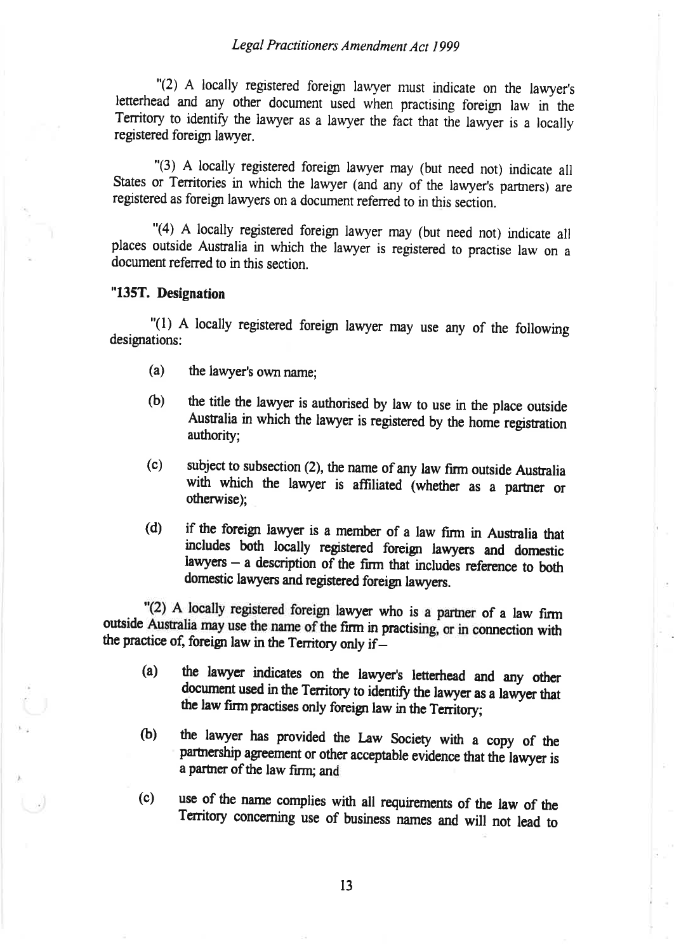"(2) A locally registered foreigr lawyer must indicate on the lawyer's letterhead and any other document used when practising foreign law in the Territory to identify the lawyer as a lawyer the fact that the lawyer is a locally registered foreign lawyer.

"(3) A locally registered foreigr lawyer may (but need not) indicate all States or Territories in which the lawyer (and any of the lawyer's partners) are registered as foreign lawyers on a document referred to in this section.

"(4) A locally registered foreign lawyer may (but need not) indicate all places outside Ausralia in which the lawyer is registered to practise law on <sup>a</sup> document refened to in this section.

#### "135T. Designation

U

"(l) 4 locally registered foreign lawyer rnay use any of the following designations:

- (a) the lawyer's own name;
- (b) the title the lawyer is authorised by law to use in the place outside Australia in which the lawyer is registered by the home registration authority;
- (c) subject to subsection (2), the name of any law firm outside Austalia with which the lawyer is affiliated (whether as a partner or othenvise);
- (d) if the foreign lawyer is a member of a law firm in Australia that includes both locally registened foreigr lawyers and domestic lawyers  $-$  a description of the firm that includes reference to both domestic lawyers and registered foreign lawyers.

.<br>مه: "Q) A locally registered foreign lawyer who is a parher of a law firm outside Australia may use the name of the firm in practising, or in connection with the practice of, foreign law in the Territory only if-

- (a) the lawyer indicates on the lawyer's letterhead and any other document used in the Territory to identify the lawyer as a lawyer that the law firm practises only foreign law in the Territory;
- (b) the lawyer has provided the Law Society with a copy of the partnership agreement or other acceptable evidence that the lawyer is a partner of the law firm; and
- (c) use of the name complies with all requirements of the law of the Territory concerning use of business names and will not lead to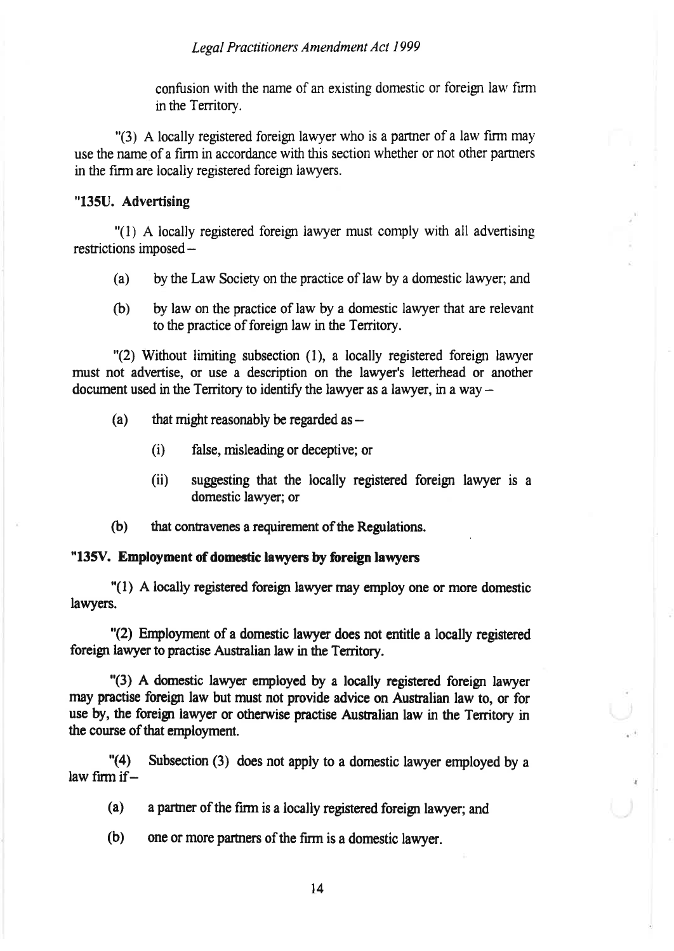confusion with the name of an existing domestic or foreign law fìrm in the Territory.

"(3) A locally registered foreign lawyer who is a partner of a law firm may use the name of a firn in accordance with this section whether or not other parmers in the firm are locally registered foreign lawyers.

#### "135U. Advertising

"(l) A locally registered foreign lawyer must comply with all advertising restrictions imposed -

- (a) by the Law Society on the practice of law by a domestic lawyer; and
- (b) by law on the practice of law by a domestic lawyer that are relevant to the practice of foreign law in the Territory.

"(2) Without limiting subsection (l), a locally registered foreign lawyer must not advertise, or use a description on the lawyer's letterhead or another document used in the Territory to identify the lawyer as a lawyer, in a way  $-$ 

- (a) that might reasonably be regarded as  $-$ 
	- (i) false, misleading or deceptive; or
	- (ii) suggesting that the locally registered foreign lawyer is a domestic lawyer; or
- (b) that contavenes a requirement of the Regulations.

#### "135V. Employment of domestic lawyers by foreign lawyers

"(1) A locally registered foreigr lawyer may employ one or morc domestic lawyers.

"(2) Employment of a domestic lawyer does not entitle a locally registered foreign lawyer to practise Australian law in the Territory.

"(3) A domestic lawyer enployed by a locally registered foreign lawyer rnay practise foreign law but must not provide advice on Austalian law to, or for use by, the foreign lawyer or otherwise practise Australian law in the Territory in the course of that employment.

"(4) Subsection (3) does not apply to a domestic lawyer employed by <sup>a</sup> law firm if $-$ 

(a) a partner of the firm is a locally registered foreign lawyer; and

(b) one or more parmers of the fìrm is a domestic lawyer.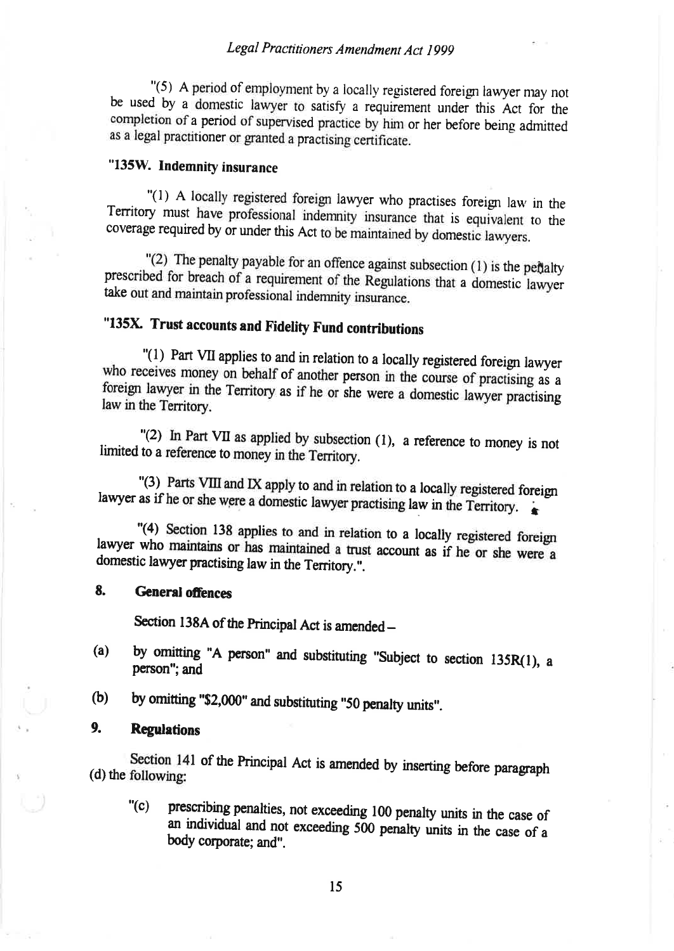"(5) A period of employment by a locally registered foreign lawyer may not be used by a domestic lawyer to satisfy a requirement under this Act for the completion of a period of supervised practice by him or her before being admitted as a legal practitioner or granted a practising certificate.

## "135W. Indemnity insurance

"(1) A locally registered foreign lawyer who practises foreign law in the Territory must have professional indemnity insurance that is equivalent to the coverage required by or under this Act to be maintained by domestic lawyers.

"(2) The penalty payable for an offence against subsection (1) is the pertalty prescribed for breach of a requirement of the Regulations that a domestic lawyer take out and maintain professional indemnity insurance.

# "135X. Trust accounts and Fidelity Fund contributions

"(1) Part VII applies to and in relation to a locally registered foreign lawyer who receives money on behalf of another person in the course of practising as a foreign lawyer in the Territory as if he or she were a domestic lawyer practising law in the Territory.

"(2) In Part VII as applied by subsection  $(1)$ , a reference to money is not limited to a reference to money in the Territory.

"(3) Parts VIII and IX apply to and in relation to a locally registered foreign lawyer as if he or she were a domestic lawyer practising law in the Territory.

"(4) Section 138 applies to and in relation to a locally registered foreign lawyer who maintains or has maintained a trust account as if he or she were a domestic lawyer practising law in the Territory.".

#### 8. **General offences**

Section 138A of the Principal Act is amended -

- by omitting "A person" and substituting "Subject to section 135R(1), a  $(a)$ person"; and
- by omitting "\$2,000" and substituting "50 penalty units".  $(b)$

#### 9. **Regulations**

Section 141 of the Principal Act is amended by inserting before paragraph (d) the following:

prescribing penalties, not exceeding 100 penalty units in the case of " $(c)$ an individual and not exceeding 500 penalty units in the case of a body corporate; and".